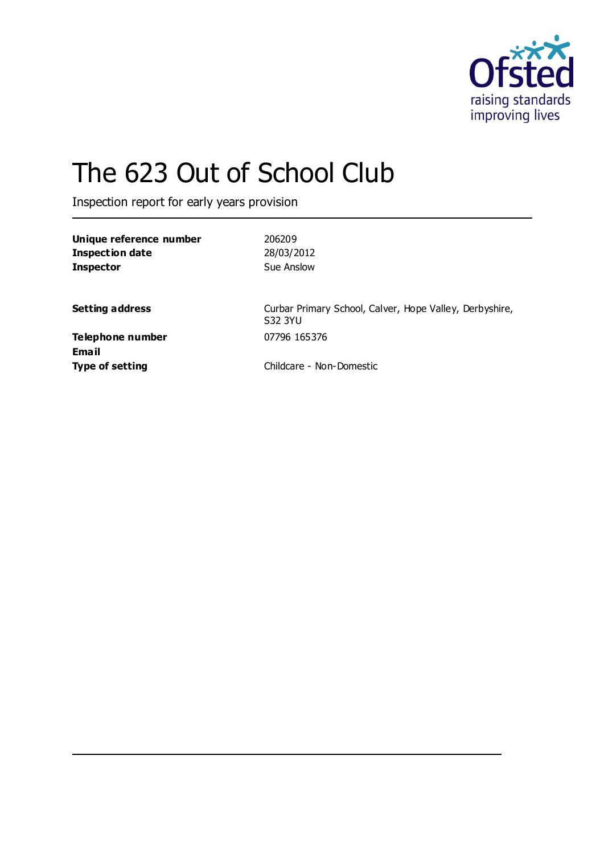

# The 623 Out of School Club

Inspection report for early years provision

| Unique reference number |  |
|-------------------------|--|
| Inspection date         |  |
| <b>Inspector</b>        |  |

**Unique reference number** 206209 **Inspection date** 28/03/2012 **Sue Anslow** 

Setting address **Setting address** Curbar Primary School, Calver, Hope Valley, Derbyshire, S32 3YU

**Telephone number** 07796 165376 **Email**

**Type of setting** Childcare - Non-Domestic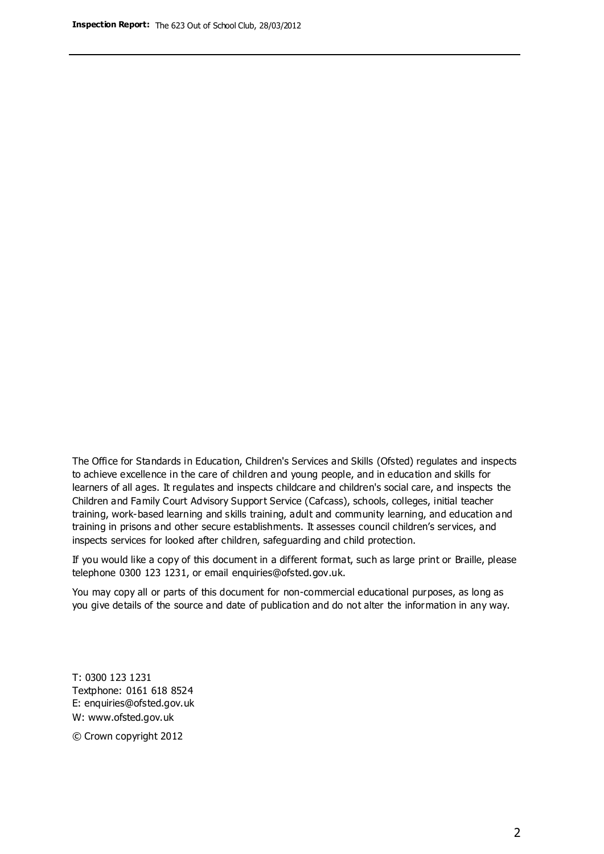The Office for Standards in Education, Children's Services and Skills (Ofsted) regulates and inspects to achieve excellence in the care of children and young people, and in education and skills for learners of all ages. It regulates and inspects childcare and children's social care, and inspects the Children and Family Court Advisory Support Service (Cafcass), schools, colleges, initial teacher training, work-based learning and skills training, adult and community learning, and education and training in prisons and other secure establishments. It assesses council children's services, and inspects services for looked after children, safeguarding and child protection.

If you would like a copy of this document in a different format, such as large print or Braille, please telephone 0300 123 1231, or email enquiries@ofsted.gov.uk.

You may copy all or parts of this document for non-commercial educational purposes, as long as you give details of the source and date of publication and do not alter the information in any way.

T: 0300 123 1231 Textphone: 0161 618 8524 E: enquiries@ofsted.gov.uk W: [www.ofsted.gov.uk](http://www.ofsted.gov.uk/)

© Crown copyright 2012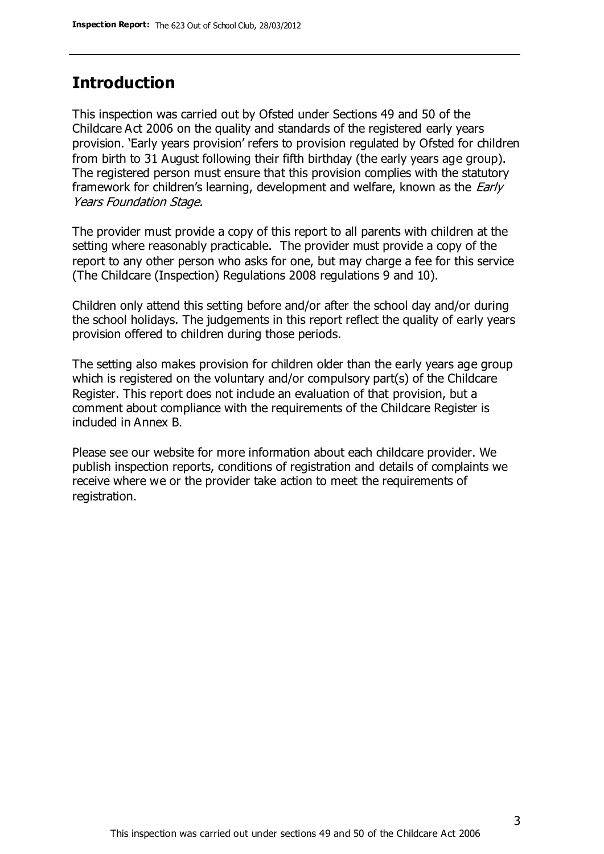#### **Introduction**

This inspection was carried out by Ofsted under Sections 49 and 50 of the Childcare Act 2006 on the quality and standards of the registered early years provision. 'Early years provision' refers to provision regulated by Ofsted for children from birth to 31 August following their fifth birthday (the early years age group). The registered person must ensure that this provision complies with the statutory framework for children's learning, development and welfare, known as the *Early* Years Foundation Stage.

The provider must provide a copy of this report to all parents with children at the setting where reasonably practicable. The provider must provide a copy of the report to any other person who asks for one, but may charge a fee for this service (The Childcare (Inspection) Regulations 2008 regulations 9 and 10).

Children only attend this setting before and/or after the school day and/or during the school holidays. The judgements in this report reflect the quality of early years provision offered to children during those periods.

The setting also makes provision for children older than the early years age group which is registered on the voluntary and/or compulsory part(s) of the Childcare Register. This report does not include an evaluation of that provision, but a comment about compliance with the requirements of the Childcare Register is included in Annex B.

Please see our website for more information about each childcare provider. We publish inspection reports, conditions of registration and details of complaints we receive where we or the provider take action to meet the requirements of registration.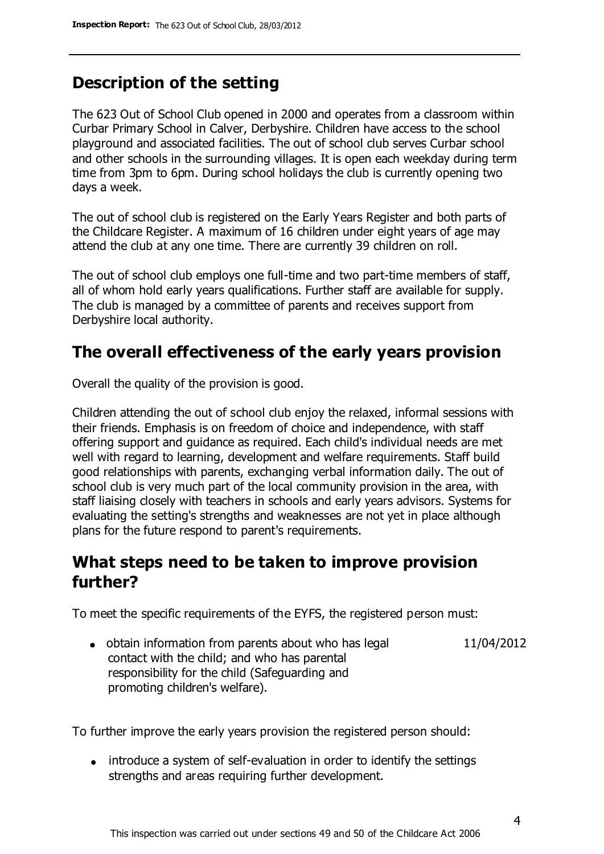# **Description of the setting**

The 623 Out of School Club opened in 2000 and operates from a classroom within Curbar Primary School in Calver, Derbyshire. Children have access to the school playground and associated facilities. The out of school club serves Curbar school and other schools in the surrounding villages. It is open each weekday during term time from 3pm to 6pm. During school holidays the club is currently opening two days a week.

The out of school club is registered on the Early Years Register and both parts of the Childcare Register. A maximum of 16 children under eight years of age may attend the club at any one time. There are currently 39 children on roll.

The out of school club employs one full-time and two part-time members of staff, all of whom hold early years qualifications. Further staff are available for supply. The club is managed by a committee of parents and receives support from Derbyshire local authority.

# **The overall effectiveness of the early years provision**

Overall the quality of the provision is good.

Children attending the out of school club enjoy the relaxed, informal sessions with their friends. Emphasis is on freedom of choice and independence, with staff offering support and guidance as required. Each child's individual needs are met well with regard to learning, development and welfare requirements. Staff build good relationships with parents, exchanging verbal information daily. The out of school club is very much part of the local community provision in the area, with staff liaising closely with teachers in schools and early years advisors. Systems for evaluating the setting's strengths and weaknesses are not yet in place although plans for the future respond to parent's requirements.

### **What steps need to be taken to improve provision further?**

To meet the specific requirements of the EYFS, the registered person must:

• obtain information from parents about who has legal contact with the child; and who has parental responsibility for the child (Safeguarding and promoting children's welfare). 11/04/2012

To further improve the early years provision the registered person should:

• introduce a system of self-evaluation in order to identify the settings strengths and areas requiring further development.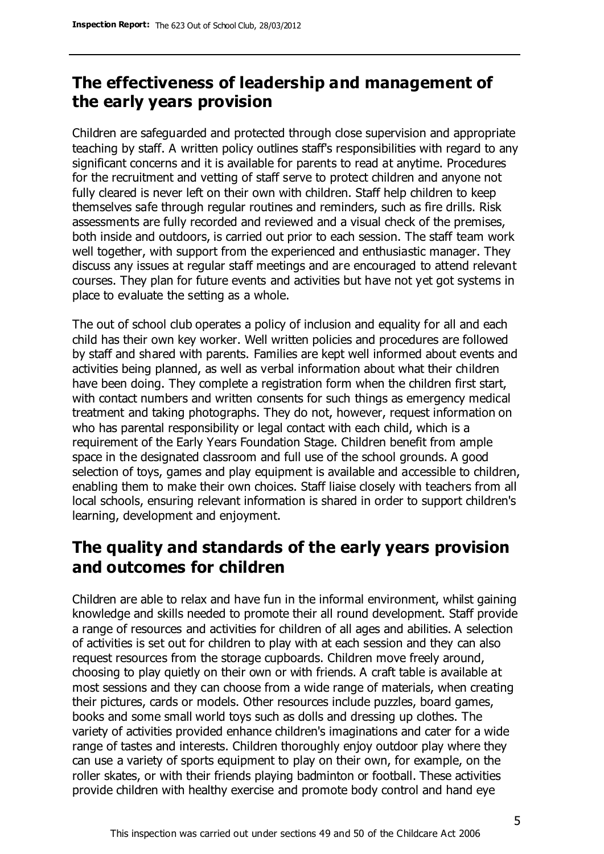# **The effectiveness of leadership and management of the early years provision**

Children are safeguarded and protected through close supervision and appropriate teaching by staff. A written policy outlines staff's responsibilities with regard to any significant concerns and it is available for parents to read at anytime. Procedures for the recruitment and vetting of staff serve to protect children and anyone not fully cleared is never left on their own with children. Staff help children to keep themselves safe through regular routines and reminders, such as fire drills. Risk assessments are fully recorded and reviewed and a visual check of the premises, both inside and outdoors, is carried out prior to each session. The staff team work well together, with support from the experienced and enthusiastic manager. They discuss any issues at regular staff meetings and are encouraged to attend relevant courses. They plan for future events and activities but have not yet got systems in place to evaluate the setting as a whole.

The out of school club operates a policy of inclusion and equality for all and each child has their own key worker. Well written policies and procedures are followed by staff and shared with parents. Families are kept well informed about events and activities being planned, as well as verbal information about what their children have been doing. They complete a registration form when the children first start, with contact numbers and written consents for such things as emergency medical treatment and taking photographs. They do not, however, request information on who has parental responsibility or legal contact with each child, which is a requirement of the Early Years Foundation Stage. Children benefit from ample space in the designated classroom and full use of the school grounds. A good selection of toys, games and play equipment is available and accessible to children, enabling them to make their own choices. Staff liaise closely with teachers from all local schools, ensuring relevant information is shared in order to support children's learning, development and enjoyment.

# **The quality and standards of the early years provision and outcomes for children**

Children are able to relax and have fun in the informal environment, whilst gaining knowledge and skills needed to promote their all round development. Staff provide a range of resources and activities for children of all ages and abilities. A selection of activities is set out for children to play with at each session and they can also request resources from the storage cupboards. Children move freely around, choosing to play quietly on their own or with friends. A craft table is available at most sessions and they can choose from a wide range of materials, when creating their pictures, cards or models. Other resources include puzzles, board games, books and some small world toys such as dolls and dressing up clothes. The variety of activities provided enhance children's imaginations and cater for a wide range of tastes and interests. Children thoroughly enjoy outdoor play where they can use a variety of sports equipment to play on their own, for example, on the roller skates, or with their friends playing badminton or football. These activities provide children with healthy exercise and promote body control and hand eye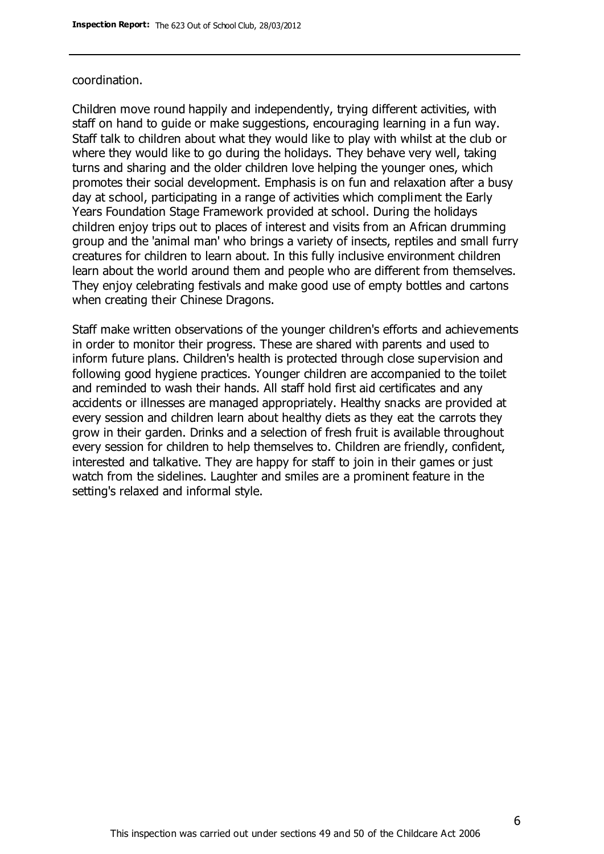#### coordination.

Children move round happily and independently, trying different activities, with staff on hand to guide or make suggestions, encouraging learning in a fun way. Staff talk to children about what they would like to play with whilst at the club or where they would like to go during the holidays. They behave very well, taking turns and sharing and the older children love helping the younger ones, which promotes their social development. Emphasis is on fun and relaxation after a busy day at school, participating in a range of activities which compliment the Early Years Foundation Stage Framework provided at school. During the holidays children enjoy trips out to places of interest and visits from an African drumming group and the 'animal man' who brings a variety of insects, reptiles and small furry creatures for children to learn about. In this fully inclusive environment children learn about the world around them and people who are different from themselves. They enjoy celebrating festivals and make good use of empty bottles and cartons when creating their Chinese Dragons.

Staff make written observations of the younger children's efforts and achievements in order to monitor their progress. These are shared with parents and used to inform future plans. Children's health is protected through close supervision and following good hygiene practices. Younger children are accompanied to the toilet and reminded to wash their hands. All staff hold first aid certificates and any accidents or illnesses are managed appropriately. Healthy snacks are provided at every session and children learn about healthy diets as they eat the carrots they grow in their garden. Drinks and a selection of fresh fruit is available throughout every session for children to help themselves to. Children are friendly, confident, interested and talkative. They are happy for staff to join in their games or just watch from the sidelines. Laughter and smiles are a prominent feature in the setting's relaxed and informal style.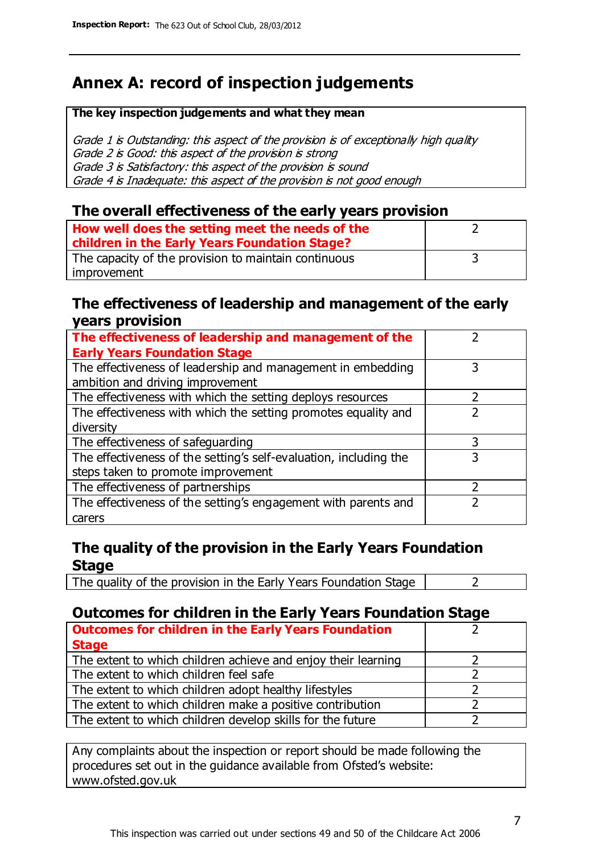# **Annex A: record of inspection judgements**

#### **The key inspection judgements and what they mean**

Grade 1 is Outstanding: this aspect of the provision is of exceptionally high quality Grade 2 is Good: this aspect of the provision is strong Grade 3 is Satisfactory: this aspect of the provision is sound Grade 4 is Inadequate: this aspect of the provision is not good enough

#### **The overall effectiveness of the early years provision**

| How well does the setting meet the needs of the<br>children in the Early Years Foundation Stage? |  |
|--------------------------------------------------------------------------------------------------|--|
| The capacity of the provision to maintain continuous                                             |  |
| improvement                                                                                      |  |

#### **The effectiveness of leadership and management of the early years provision**

| The effectiveness of leadership and management of the             |   |
|-------------------------------------------------------------------|---|
| <b>Early Years Foundation Stage</b>                               |   |
| The effectiveness of leadership and management in embedding       | 3 |
| ambition and driving improvement                                  |   |
| The effectiveness with which the setting deploys resources        |   |
| The effectiveness with which the setting promotes equality and    |   |
| diversity                                                         |   |
| The effectiveness of safeguarding                                 | 3 |
| The effectiveness of the setting's self-evaluation, including the | 3 |
| steps taken to promote improvement                                |   |
| The effectiveness of partnerships                                 | 7 |
| The effectiveness of the setting's engagement with parents and    |   |
| carers                                                            |   |

#### **The quality of the provision in the Early Years Foundation Stage**

The quality of the provision in the Early Years Foundation Stage  $\vert$  2

#### **Outcomes for children in the Early Years Foundation Stage**

| <b>Outcomes for children in the Early Years Foundation</b>    |  |
|---------------------------------------------------------------|--|
| <b>Stage</b>                                                  |  |
| The extent to which children achieve and enjoy their learning |  |
| The extent to which children feel safe                        |  |
| The extent to which children adopt healthy lifestyles         |  |
| The extent to which children make a positive contribution     |  |
| The extent to which children develop skills for the future    |  |

Any complaints about the inspection or report should be made following the procedures set out in the guidance available from Ofsted's website: www.ofsted.gov.uk